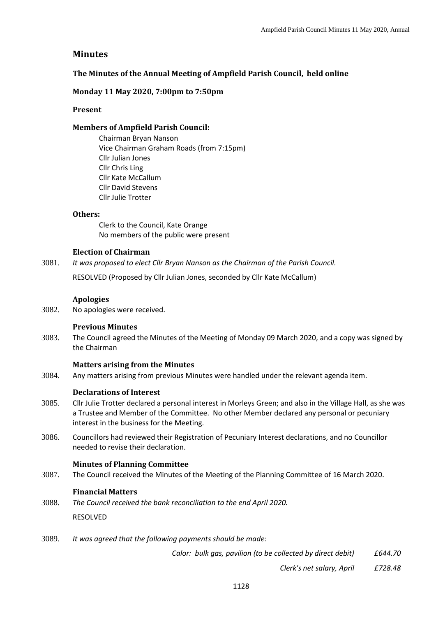# **Minutes**

## **The Minutes of the Annual Meeting of Ampfield Parish Council, held online**

## **Monday 11 May 2020, 7:00pm to 7:50pm**

### **Present**

## **Members of Ampfield Parish Council:**

Chairman Bryan Nanson Vice Chairman Graham Roads (from 7:15pm) Cllr Julian Jones Cllr Chris Ling Cllr Kate McCallum Cllr David Stevens Cllr Julie Trotter

### **Others:**

Clerk to the Council, Kate Orange No members of the public were present

## **Election of Chairman**

3081. *It was proposed to elect Cllr Bryan Nanson as the Chairman of the Parish Council.* 

RESOLVED (Proposed by Cllr Julian Jones, seconded by Cllr Kate McCallum)

### **Apologies**

3082. No apologies were received.

### **Previous Minutes**

3083. The Council agreed the Minutes of the Meeting of Monday 09 March 2020, and a copy was signed by the Chairman

# **Matters arising from the Minutes**

3084. Any matters arising from previous Minutes were handled under the relevant agenda item.

# **Declarations of Interest**

- 3085. Cllr Julie Trotter declared a personal interest in Morleys Green; and also in the Village Hall, as she was a Trustee and Member of the Committee. No other Member declared any personal or pecuniary interest in the business for the Meeting.
- 3086. Councillors had reviewed their Registration of Pecuniary Interest declarations, and no Councillor needed to revise their declaration.

### **Minutes of Planning Committee**

3087. The Council received the Minutes of the Meeting of the Planning Committee of 16 March 2020.

### **Financial Matters**

3088. *The Council received the bank reconciliation to the end April 2020.* 

RESOLVED

3089. *It was agreed that the following payments should be made:* 

*Calor: bulk gas, pavilion (to be collected by direct debit) £644.70*

*Clerk's net salary, April £728.48*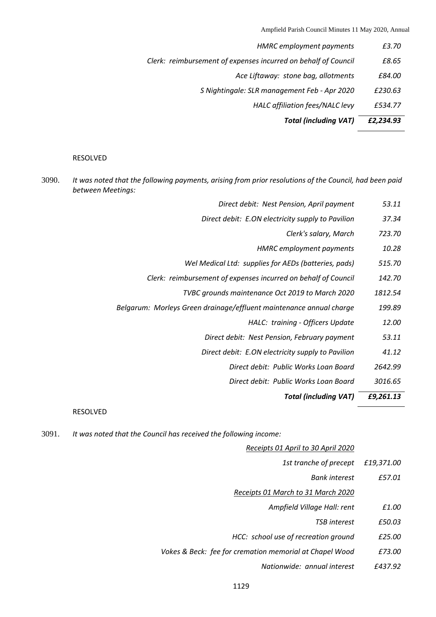Ampfield Parish Council Minutes 11 May 2020, Annual

| <b>Total (including VAT)</b>                                   | £2,234.93 |
|----------------------------------------------------------------|-----------|
| HALC affiliation fees/NALC levy                                | £534.77   |
| S Nightingale: SLR management Feb - Apr 2020                   | £230.63   |
| Ace Liftaway: stone bag, allotments                            | £84.00    |
| Clerk: reimbursement of expenses incurred on behalf of Council | £8.65     |
| <b>HMRC</b> employment payments                                | £3.70     |

#### RESOLVED

3090. *It was noted that the following payments, arising from prior resolutions of the Council, had been paid between Meetings:* 

| 53.11  | Direct debit: Nest Pension, April payment                      |
|--------|----------------------------------------------------------------|
| 37.34  | Direct debit: E.ON electricity supply to Pavilion              |
| 723.70 | Clerk's salary, March                                          |
| 10.28  | <b>HMRC</b> employment payments                                |
| 515.70 | Wel Medical Ltd: supplies for AEDs (batteries, pads)           |
| 142.70 | Clerk: reimbursement of expenses incurred on behalf of Council |
|        |                                                                |

- *TVBC grounds maintenance Oct 2019 to March 2020 1812.54*
- *Belgarum: Morleys Green drainage/effluent maintenance annual charge 199.89*
	- *HALC: training - Officers Update 12.00*
	- *Direct debit: Nest Pension, February payment 53.11*
	- *Direct debit: E.ON electricity supply to Pavilion 41.12*
		- *Direct debit: Public Works Loan Board 2642.99*
		- *Direct debit: Public Works Loan Board 3016.65*

*Total (including VAT) £9,261.13*

### RESOLVED

3091. *It was noted that the Council has received the following income:* 

|            | Receipts 01 April to 30 April 2020                      |
|------------|---------------------------------------------------------|
| £19,371.00 | 1st tranche of precept                                  |
| £57.01     | <b>Bank interest</b>                                    |
|            | Receipts 01 March to 31 March 2020                      |
| £1.00      | Ampfield Village Hall: rent                             |
| £50.03     | <b>TSB</b> interest                                     |
| £25.00     | HCC: school use of recreation ground                    |
| £73.00     | Vokes & Beck: fee for cremation memorial at Chapel Wood |
| £437.92    | Nationwide: annual interest                             |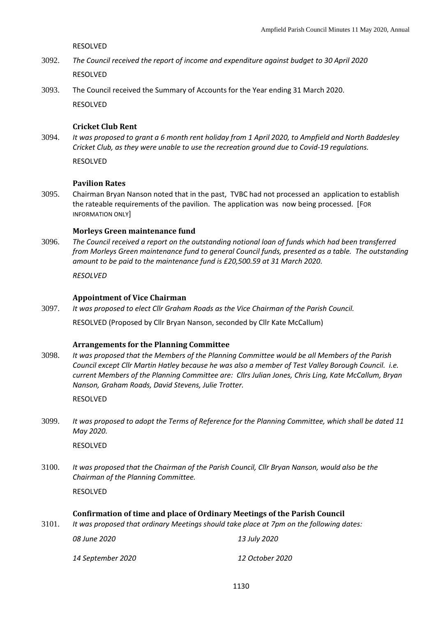RESOLVED

- 3092. *The Council received the report of income and expenditure against budget to 30 April 2020* RESOLVED
- 3093. The Council received the Summary of Accounts for the Year ending 31 March 2020. RESOLVED

## **Cricket Club Rent**

3094. *It was proposed to grant a 6 month rent holiday from 1 April 2020, to Ampfield and North Baddesley Cricket Club, as they were unable to use the recreation ground due to Covid-19 regulations.* 

RESOLVED

### **Pavilion Rates**

3095. Chairman Bryan Nanson noted that in the past, TVBC had not processed an application to establish the rateable requirements of the pavilion. The application was now being processed. [FOR INFORMATION ONLY]

### **Morleys Green maintenance fund**

3096. *The Council received a report on the outstanding notional loan of funds which had been transferred from Morleys Green maintenance fund to general Council funds, presented as a table. The outstanding amount to be paid to the maintenance fund is £20,500.59 at 31 March 2020.* 

*RESOLVED*

#### **Appointment of Vice Chairman**

3097. *It was proposed to elect Cllr Graham Roads as the Vice Chairman of the Parish Council.* 

RESOLVED (Proposed by Cllr Bryan Nanson, seconded by Cllr Kate McCallum)

#### **Arrangements for the Planning Committee**

3098. *It was proposed that the Members of the Planning Committee would be all Members of the Parish Council except Cllr Martin Hatley because he was also a member of Test Valley Borough Council. i.e. current Members of the Planning Committee are: Cllrs Julian Jones, Chris Ling, Kate McCallum, Bryan Nanson, Graham Roads, David Stevens, Julie Trotter.*

RESOLVED

3099. *It was proposed to adopt the Terms of Reference for the Planning Committee, which shall be dated 11 May 2020.* 

RESOLVED

3100. *It was proposed that the Chairman of the Parish Council, Cllr Bryan Nanson, would also be the Chairman of the Planning Committee.*

RESOLVED

### **Confirmation of time and place of Ordinary Meetings of the Parish Council**

3101. *It was proposed that ordinary Meetings should take place at 7pm on the following dates:* 

*08 June 2020 13 July 2020*

*14 September 2020 12 October 2020*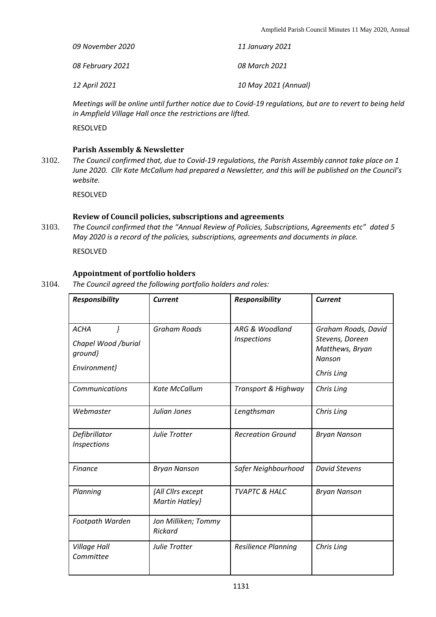| 09 November 2020 | 11 January 2021      |
|------------------|----------------------|
| 08 February 2021 | 08 March 2021        |
| 12 April 2021    | 10 May 2021 (Annual) |

*Meetings will be online until further notice due to Covid-19 regulations, but are to revert to being held in Ampfield Village Hall once the restrictions are lifted.* 

RESOLVED

## **Parish Assembly & Newsletter**

3102. *The Council confirmed that, due to Covid-19 regulations, the Parish Assembly cannot take place on 1 June 2020. Cllr Kate McCallum had prepared a Newsletter, and this will be published on the Council's website.* 

RESOLVED

# **Review of Council policies, subscriptions and agreements**

3103. *The Council confirmed that the "Annual Review of Policies, Subscriptions, Agreements etc" dated 5 May 2020 is a record of the policies, subscriptions, agreements and documents in place.* 

RESOLVED

# **Appointment of portfolio holders**

3104. *The Council agreed the following portfolio holders and roles:* 

| <b>Responsibility</b>                                         | <b>Current</b>                        | <b>Responsibility</b>         | <b>Current</b>                                                                    |
|---------------------------------------------------------------|---------------------------------------|-------------------------------|-----------------------------------------------------------------------------------|
| <b>ACHA</b><br>Chapel Wood /burial<br>ground}<br>Environment} | <b>Graham Roads</b>                   | ARG & Woodland<br>Inspections | Graham Roads, David<br>Stevens, Doreen<br>Matthews, Bryan<br>Nanson<br>Chris Ling |
| Communications                                                | Kate McCallum                         | Transport & Highway           | Chris Ling                                                                        |
| Webmaster                                                     | Julian Jones                          | Lengthsman                    | Chris Ling                                                                        |
| Defibrillator<br>Inspections                                  | Julie Trotter                         | <b>Recreation Ground</b>      | <b>Bryan Nanson</b>                                                               |
| <b>Finance</b>                                                | <b>Bryan Nanson</b>                   | Safer Neighbourhood           | <b>David Stevens</b>                                                              |
| Planning                                                      | {All Cllrs except<br>Martin Hatley}   | <b>TVAPTC &amp; HALC</b>      | <b>Bryan Nanson</b>                                                               |
| Footpath Warden                                               | Jon Milliken; Tommy<br><b>Rickard</b> |                               |                                                                                   |
| Village Hall<br>Committee                                     | Julie Trotter                         | <b>Resilience Planning</b>    | Chris Ling                                                                        |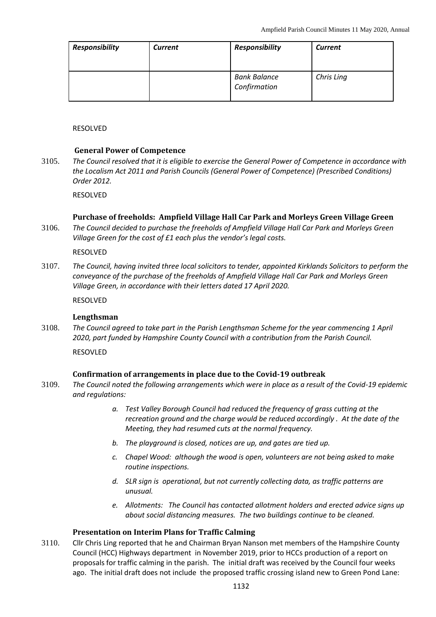| <b>Responsibility</b> | <b>Current</b> | <b>Responsibility</b>               | <b>Current</b> |
|-----------------------|----------------|-------------------------------------|----------------|
|                       |                | <b>Bank Balance</b><br>Confirmation | Chris Ling     |

RESOLVED

## **General Power of Competence**

3105. *The Council resolved that it is eligible to exercise the General Power of Competence in accordance with the Localism Act 2011 and Parish Councils (General Power of Competence) (Prescribed Conditions) Order 2012.*

RESOLVED

# **Purchase of freeholds: Ampfield Village Hall Car Park and Morleys Green Village Green**

3106. *The Council decided to purchase the freeholds of Ampfield Village Hall Car Park and Morleys Green Village Green for the cost of £1 each plus the vendor's legal costs.* 

RESOLVED

3107. *The Council, having invited three local solicitors to tender, appointed Kirklands Solicitors to perform the conveyance of the purchase of the freeholds of Ampfield Village Hall Car Park and Morleys Green Village Green, in accordance with their letters dated 17 April 2020.*

RESOLVED

### **Lengthsman**

3108. *The Council agreed to take part in the Parish Lengthsman Scheme for the year commencing 1 April 2020, part funded by Hampshire County Council with a contribution from the Parish Council.* 

RESOVLED

# **Confirmation of arrangements in place due to the Covid-19 outbreak**

- 3109. *The Council noted the following arrangements which were in place as a result of the Covid-19 epidemic and regulations:* 
	- *a. Test Valley Borough Council had reduced the frequency of grass cutting at the recreation ground and the charge would be reduced accordingly . At the date of the Meeting, they had resumed cuts at the normal frequency.*
	- *b. The playground is closed, notices are up, and gates are tied up.*
	- *c. Chapel Wood: although the wood is open, volunteers are not being asked to make routine inspections.*
	- *d. SLR sign is operational, but not currently collecting data, as traffic patterns are unusual.*
	- *e. Allotments: The Council has contacted allotment holders and erected advice signs up about social distancing measures. The two buildings continue to be cleaned.*

# **Presentation on Interim Plans for Traffic Calming**

3110. Cllr Chris Ling reported that he and Chairman Bryan Nanson met members of the Hampshire County Council (HCC) Highways department in November 2019, prior to HCCs production of a report on proposals for traffic calming in the parish. The initial draft was received by the Council four weeks ago. The initial draft does not include the proposed traffic crossing island new to Green Pond Lane: